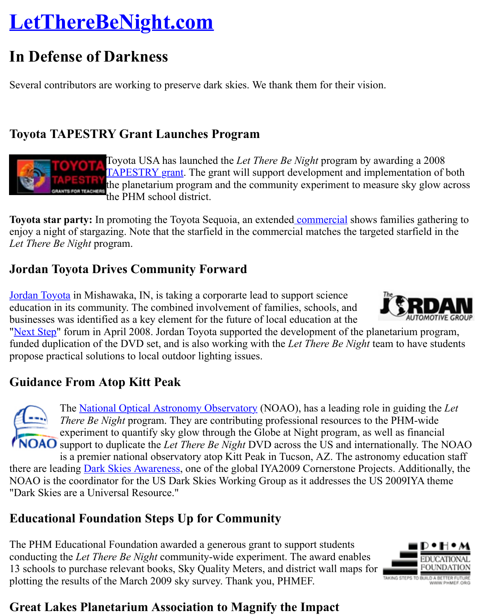Several contributors are working to preserve dark skies. We thank them for their vision.

#### **Toyota TAPESTRY Grant Launches Program**



Toyota USA has launched the *Let There Be Night* program by awarding **TAPESTRY** grant. The grant will support development and implementation the planetarium program and the community experiment to measure sk the PHM school district.

**Toyota star party:** In promoting the Toyota Sequoia, an extended commercial shows familie enjoy a night of stargazing. Note that the starfield in the commercial matches the targeted star *Let There Be Night* program.

## **Jordan Toyota Drives Community Forward**

Jordan Toyota in Mishawaka, IN, is taking a corporarte lead to support science education in its community. The combined involvement of famili[es, schools, an](http://www.toyota.com/vehicles/minisite/sequoia/experience/?#/star-party/)d businesses was identified as a key element for the future of local education at the

"Next Step" forum in April 2008. Jordan Toyota supported the development of the planetarium funded duplication of the DVD set, and is also working with the *Let There Be Night* team to h propose practical solutions to local outdoor lighting issues.

## **[Guidance From Atop Kitt Peak](http://jordantoyota.com/)**

The National Optical Astronomy Observatory (NOAO), has a leading role in guid *There Be Night* program. They are contributing professional resources to the PHN experiment to quantify sky glow through the Globe at Night program, as well as f **NOAO** support to duplicate the *Let There Be Night* DVD across the US and internationall

is a premier national observatory atop Kitt Peak in Tucson, AZ. The astronomy ed there are leading **Dark Skies Awareness**, one of the global IYA2009 Cornerstone Projects. Ad NOAO is the coordinator for the US Dark Skies Working Group as it addresses the US 2009I "Dark Skies are [a Universal Resource."](http://www.noao.edu/)

## **Educational Foundation Steps Up for Community**

The PHM Educational Foundation awarded a generous grant to support students conducting the *L[et There Be Night](http://www.astronomy2009.org/content/view/298/87/)* community-wide experiment. The award enables 13 schools to purchase relevant books, Sky Quality Meters, and district wall maps for plotting the results of the March 2009 sky survey. Thank you, PHMEF.



#### **Great Lakes Planetarium Association to Magnify the Impact**

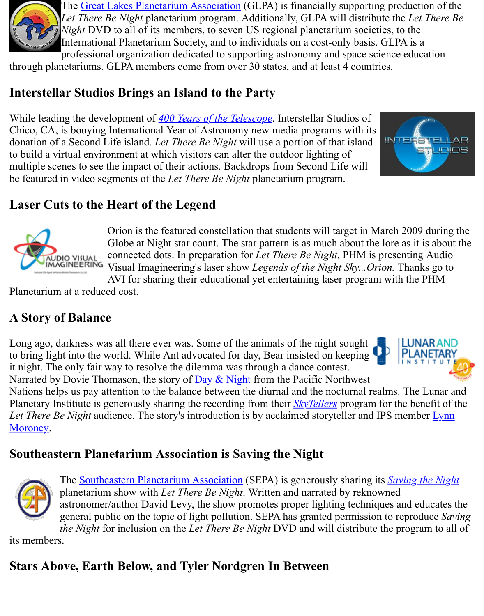#### **Interstellar [Studios Brings an Island to the](http://www.glpaweb.org/) Party**

While leading the development of *400 Years of the Telescope*, Interstellar Studios of Chico, CA, is bouying International Year of Astronomy new media programs with its donation of a Second Life island. *Let There Be Night* will use a portion of that island to build a virtual environment at which visitors can alter the outdoor lighting of multiple scenes to see the impact of their actions. Backdrops from Second Life will be featured in video segments of the *Let There Be Night* planetarium program.



## **Laser Cuts to the Heart of [the Legend](http://www.400years.org/)**



Orion is the featured constellation that students will target in March 20 Globe at Night star count. The star pattern is as much about the lore as connected dots. In preparation for *Let There Be Night*, PHM is present Visual Imagineering's laser show *Legends of the Night Sky...Orion*. That

AVI for sharing their educational yet entertaining laser program with the  $\frac{1}{2}$ Planetarium at a reduced cost.

# **A Story of Balance**

Long ago, darkness was all there ever was. Some of the animals of the night sought to bring light into the world. While Ant advocated for day, Bear insisted on keeping



it night. The only fair way to resolve the dilemma was through a dance contest. Narrated by Dovie Thomason, the story of Day & Night from the Pacific Northwest Nations helps us pay attention to the balance between the diurnal and the nocturnal realms. The Lunar and Lunar and  $\mu$ Planetary Institiute is generously sharing the recording from their *SkyTellers* program for the be-*Let There Be Night* audience. The story's introduction is by acclaimed storyteller and IPS mer Moroney.

#### **Southeastern Planetarium Associ[ation is Sav](http://www.lpi.usra.edu/education/skytellers/day_night/)ing the Night**



The Southeastern Planetarium Association (SEPA) is generously sharing its *Savin* planetarium show with *Let There Be Night*. Written a[nd narrated](http://www.lpi.usra.edu/education/skytellers/intro.shtml) by reknowned astronomer/author David Levy, the show promotes proper lighting techniques and general public on the topic of light pollution. SEPA has granted permission to reproduce *SEPA* has granted permission to reproduce *SEPA* has granted permission to reproduce *SEPA* has granted permission to reproduce *Sep* 

*the Night* for inclusion on the *Let There Be Night* DVD and will distribute the program-

its members.

## **Stars Above[, Earth Below, and Tyler Nordg](http://www.sepadomes.org/)ren In Between**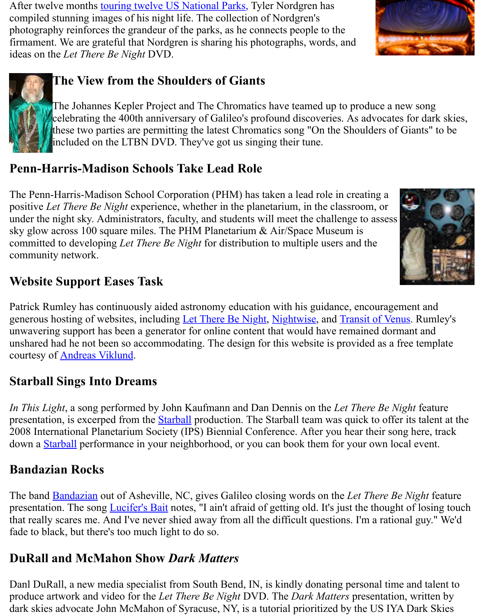

#### **The Vie[w from the Shoulders of Gia](http://www.planetary.org/explore/topics/how_it_works/planetary_analogs/parks.html)nts**

The Johannes Kepler Project and The Chromatics have teamed up to produce a new celebrating the 400th anniversary of Galileo's profound discoveries. As advocates for these two parties are permitting the latest Chromatics song "On the Shoulders of Gi included on the LTBN DVD. They've got us singing their tune.

#### **Penn-Harris-Madison Schools Take Lead Role**

The Penn-Harris-Madison School Corporation (PHM) has taken a lead role in creating a positive *Let There Be Night* experience, whether in the planetarium, in the classroom, or under the night sky. Administrators, faculty, and students will meet the challenge to assess sky glow across 100 square miles. The PHM Planetarium & Air/Space Museum is committed to developing *Let There Be Night* for distribution to multiple users and the community network.



## **Website Support Eases Task**

Patrick Rumley has continuously aided astronomy education with his guidance, encouragement generous hosting of websites, including Let There Be Night, Nightwise, and Transit of Venus unwavering support has been a generator for online content that would have remained dorman unshared had he not been so accommodating. The design for this website is provided as a free courtesy of Andreas Viklund.

#### **Starball Sings Into Dreams**

*In This Light*, a song performed by John [Kaufmann and Dan](http://www.lettherebenight.com/index.html) [Dennis on](http://www.nightwise.org/) the [Let There Be Nigh](http://www.transitofvenus.org/)t presentation, is excerped from the **Starball** production. The Starball team was quick to offer it 2008 International Planetarium Society (IPS) Biennial Conference. After you hear their song down a **Starball** performance in your neighborhood, or you can book them for your own local

#### **Bandazian Rocks**

The band **Bandazian** out of Asheville, NC, gives Galileo closing words on the Let There Be N presentation. The song *Lucifer's Bait* notes, "I ain't afraid of getting old. It's just the thought of that really scares me. And I've never shied away from all the difficult questions. I'm a rational fade to [black, bu](http://www.emutt.com/starball)t there's too much light to do so.

#### **DuRall and McMahon Show** *Dark Matters*

Danl Du[Rall, a new m](http://www.bandazianmusic.com/)edia specialist from South Bend, IN, is kindly donating personal time a produce artwork and vi[deo for the](http://www.lettherebenight.com/DVD/Songs/Lucifer) *Let There Be Night* DVD. The *Dark Matters* presentation, dark skies advocate John McMahon of Syracuse, NY, is a tutorial prioritized by the US IYA I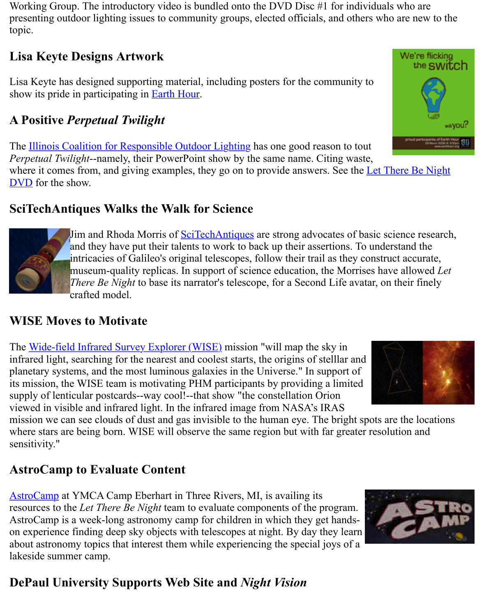Lisa Keyte has designed supporting material, including posters for the community to show its pride in participating in **Earth Hour.** 

## **A Positive** *Perpetual Twilight*

The Illinois Coalition for Responsible Outdoor Lighting has one good reason to tout *Perpetual Twilight*--namely, their PowerPoint show by the same name. Citing waste, where it comes from, and giving [examples, t](http://www.lettherebenight.com/earthhour.html)hey go on to provide answers. See the Let There DVD for the show.

## **SciTechAntiques Walks the Walk for Science**

[Jim and Rhoda Morris of SciTechAntiques](http://www.illinoislighting.org/) are strong advocates of basic science and they have put their talents to work to back up their assertions. To understan intricacies of Galileo's original telescopes, follow their trail as they construct ac museum-quality replicas. In support of science education, the Morrises have all *There Be Night* to base its narrator's telescope, for a Second Life avatar, on their crafted model.

#### **WISE Moves to Motivate**

The Wide-field Infrared Survey Explorer (WISE) mission "will map the sky in infrared light, searching for the nearest and coolest starts, the origins of stelllar and planetary systems, and the most luminous galaxies in the Universe." In support of its mission, the WISE team is motivating PHM participants by providing a limited supply of lenticular postcards--way cool!--that show "the constellation Orion viewed in visible and infrared light. In the infrared image from NASA's IRAS

mission we can see clouds of dust and gas invisible to the human eye. The bright spots are the whe[re stars are being born. WISE will observe the](http://wise.ssl.berkeley.edu/index.html) same region but with far greater resolution sensitivity."

## **AstroCamp to Evaluate Content**

AstroCamp at YMCA Camp Eberhart in Three Rivers, MI, is availing its resources to the *Let There Be Night* team to evaluate components of the program. AstroCamp is a week-long astronomy camp for children in which they get handson experience finding deep sky objects with telescopes at night. By day they learn about astronomy topics that interest them while experiencing the special joys of a lakeside summer camp.



## **[DePaul University Supports Web Site and](http://analyzer.depaul.edu/paperplate/astrocamp.htm)** *Night Vision*